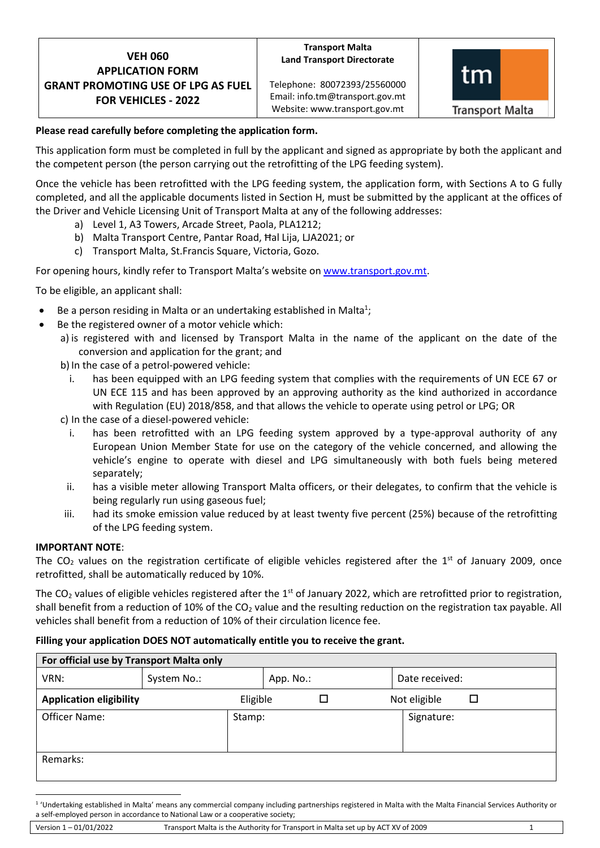# **VEH 060 APPLICATION FORM GRANT PROMOTING USE OF LPG AS FUEL FOR VEHICLES - 2022**

### **Transport Malta Land Transport Directorate**

Telephone: 80072393/25560000 Email: info.tm@transport.gov.mt Website: www.transport.gov.mt



# **Please read carefully before completing the application form.**

This application form must be completed in full by the applicant and signed as appropriate by both the applicant and the competent person (the person carrying out the retrofitting of the LPG feeding system).

Once the vehicle has been retrofitted with the LPG feeding system, the application form, with Sections A to G fully completed, and all the applicable documents listed in Section H, must be submitted by the applicant at the offices of the Driver and Vehicle Licensing Unit of Transport Malta at any of the following addresses:

- a) Level 1, A3 Towers, Arcade Street, Paola, PLA1212;
- b) Malta Transport Centre, Pantar Road, Ħal Lija, LJA2021; or
- c) Transport Malta, St.Francis Square, Victoria, Gozo.

For opening hours, kindly refer to Transport Malta's website on [www.transport.gov.mt.](http://www.transport.gov.mt/)

To be eligible, an applicant shall:

- Be a person residing in Malta or an undertaking established in Malta<sup>1</sup>;
- Be the registered owner of a motor vehicle which:
	- a) is registered with and licensed by Transport Malta in the name of the applicant on the date of the conversion and application for the grant; and
	- b) In the case of a petrol-powered vehicle:
		- i. has been equipped with an LPG feeding system that complies with the requirements of UN ECE 67 or UN ECE 115 and has been approved by an approving authority as the kind authorized in accordance with Regulation (EU) 2018/858, and that allows the vehicle to operate using petrol or LPG; OR

c) In the case of a diesel-powered vehicle:

- i. has been retrofitted with an LPG feeding system approved by a type-approval authority of any European Union Member State for use on the category of the vehicle concerned, and allowing the vehicle's engine to operate with diesel and LPG simultaneously with both fuels being metered separately;
- ii. has a visible meter allowing Transport Malta officers, or their delegates, to confirm that the vehicle is being regularly run using gaseous fuel;
- iii. had its smoke emission value reduced by at least twenty five percent (25%) because of the retrofitting of the LPG feeding system.

### **IMPORTANT NOTE**:

The CO<sub>2</sub> values on the registration certificate of eligible vehicles registered after the  $1<sup>st</sup>$  of January 2009, once retrofitted, shall be automatically reduced by 10%.

The CO<sub>2</sub> values of eligible vehicles registered after the 1<sup>st</sup> of January 2022, which are retrofitted prior to registration, shall benefit from a reduction of 10% of the  $CO<sub>2</sub>$  value and the resulting reduction on the registration tax payable. All vehicles shall benefit from a reduction of 10% of their circulation licence fee.

### **Filling your application DOES NOT automatically entitle you to receive the grant.**

| For official use by Transport Malta only |             |           |  |                |
|------------------------------------------|-------------|-----------|--|----------------|
| VRN:                                     | System No.: | App. No.: |  | Date received: |
| <b>Application eligibility</b>           |             | Eligible  |  | Not eligible   |
| Officer Name:                            | Stamp:      |           |  | Signature:     |
| Remarks:                                 |             |           |  |                |

<sup>&</sup>lt;sup>1</sup> 'Undertaking established in Malta' means any commercial company including partnerships registered in Malta with the Malta Financial Services Authority or a self-employed person in accordance to National Law or a cooperative society;

Version 1 – 01/01/2022 Transport Malta is the Authority for Transport in Malta set up by ACT XV of 2009 1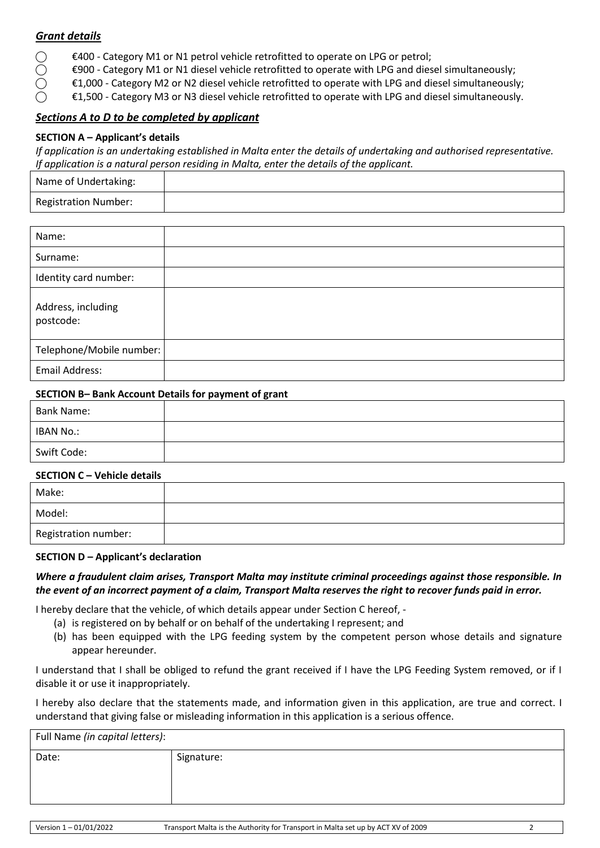# *Grant details*

- ⃝ €400 Category M1 or N1 petrol vehicle retrofitted to operate on LPG or petrol;
- $\bigcap$  €900 Category M1 or N1 diesel vehicle retrofitted to operate with LPG and diesel simultaneously;
- $\bigcap$   $\epsilon$ 1,000 Category M2 or N2 diesel vehicle retrofitted to operate with LPG and diesel simultaneously;
	- ⃝ €1,500 Category M3 or N3 diesel vehicle retrofitted to operate with LPG and diesel simultaneously.

# *Sections A to D to be completed by applicant*

# **SECTION A – Applicant's details**

*If application is an undertaking established in Malta enter the details of undertaking and authorised representative. If application is a natural person residing in Malta, enter the details of the applicant.*

| Name of Undertaking:        |  |
|-----------------------------|--|
| <b>Registration Number:</b> |  |

| Name:                           |  |
|---------------------------------|--|
| Surname:                        |  |
| Identity card number:           |  |
| Address, including<br>postcode: |  |
| Telephone/Mobile number:        |  |
| Email Address:                  |  |

# **SECTION B– Bank Account Details for payment of grant**

| Bank Name:  |  |
|-------------|--|
| IBAN No.:   |  |
| Swift Code: |  |

# **SECTION C – Vehicle details**

| Make:                |  |
|----------------------|--|
| Model:               |  |
| Registration number: |  |

# **SECTION D – Applicant's declaration**

# *Where a fraudulent claim arises, Transport Malta may institute criminal proceedings against those responsible. In the event of an incorrect payment of a claim, Transport Malta reserves the right to recover funds paid in error.*

I hereby declare that the vehicle, of which details appear under Section C hereof, -

- (a) is registered on by behalf or on behalf of the undertaking I represent; and
- (b) has been equipped with the LPG feeding system by the competent person whose details and signature appear hereunder.

I understand that I shall be obliged to refund the grant received if I have the LPG Feeding System removed, or if I disable it or use it inappropriately.

I hereby also declare that the statements made, and information given in this application, are true and correct. I understand that giving false or misleading information in this application is a serious offence.

| Full Name (in capital letters): |            |
|---------------------------------|------------|
| Date:                           | Signature: |
|                                 |            |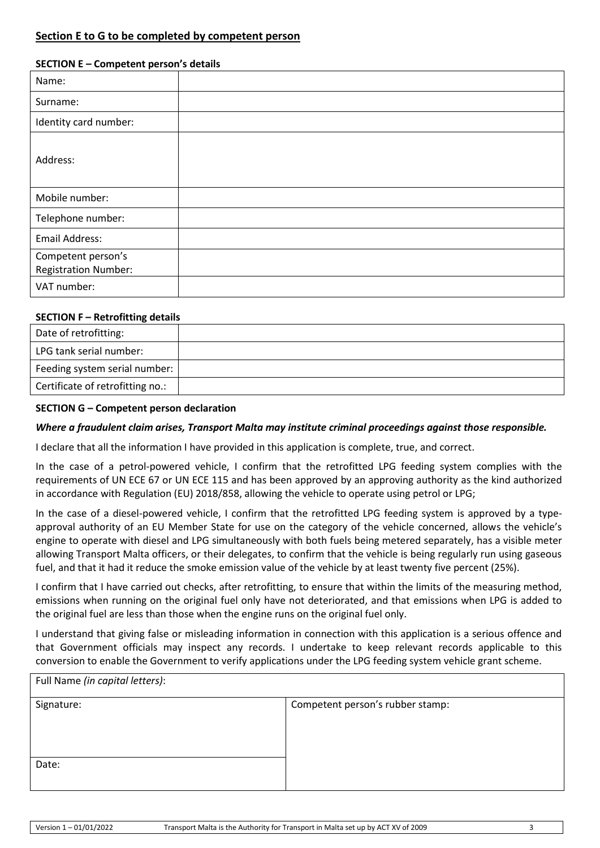### **SECTION E – Competent person's details**

| Name:                                             |  |
|---------------------------------------------------|--|
| Surname:                                          |  |
| Identity card number:                             |  |
| Address:                                          |  |
| Mobile number:                                    |  |
| Telephone number:                                 |  |
| <b>Email Address:</b>                             |  |
| Competent person's<br><b>Registration Number:</b> |  |
| VAT number:                                       |  |

### **SECTION F – Retrofitting details**

### **SECTION G – Competent person declaration**

### *Where a fraudulent claim arises, Transport Malta may institute criminal proceedings against those responsible.*

I declare that all the information I have provided in this application is complete, true, and correct.

In the case of a petrol-powered vehicle, I confirm that the retrofitted LPG feeding system complies with the requirements of UN ECE 67 or UN ECE 115 and has been approved by an approving authority as the kind authorized in accordance with Regulation (EU) 2018/858, allowing the vehicle to operate using petrol or LPG;

In the case of a diesel-powered vehicle, I confirm that the retrofitted LPG feeding system is approved by a typeapproval authority of an EU Member State for use on the category of the vehicle concerned, allows the vehicle's engine to operate with diesel and LPG simultaneously with both fuels being metered separately, has a visible meter allowing Transport Malta officers, or their delegates, to confirm that the vehicle is being regularly run using gaseous fuel, and that it had it reduce the smoke emission value of the vehicle by at least twenty five percent (25%).

I confirm that I have carried out checks, after retrofitting, to ensure that within the limits of the measuring method, emissions when running on the original fuel only have not deteriorated, and that emissions when LPG is added to the original fuel are less than those when the engine runs on the original fuel only.

I understand that giving false or misleading information in connection with this application is a serious offence and that Government officials may inspect any records. I undertake to keep relevant records applicable to this conversion to enable the Government to verify applications under the LPG feeding system vehicle grant scheme.

| Full Name (in capital letters): |                                  |
|---------------------------------|----------------------------------|
| Signature:                      | Competent person's rubber stamp: |
|                                 |                                  |
| Date:                           |                                  |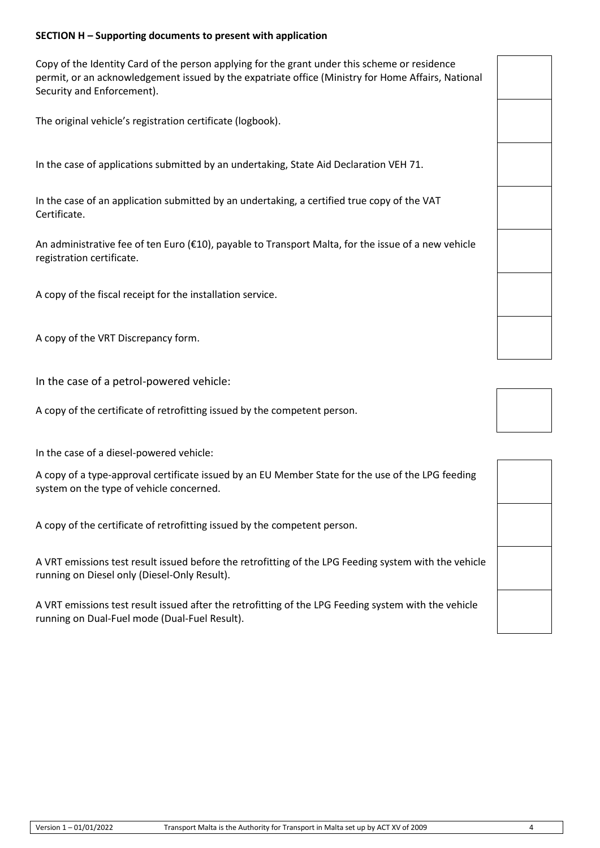### **SECTION H – Supporting documents to present with application**

Copy of the Identity Card of the person applying for the grant under this scheme or residence permit, or an acknowledgement issued by the expatriate office (Ministry for Home Affairs, National Security and Enforcement).

The original vehicle's registration certificate (logbook).

In the case of applications submitted by an undertaking, State Aid Declaration VEH 71.

In the case of an application submitted by an undertaking, a certified true copy of the VAT Certificate.

An administrative fee of ten Euro (€10), payable to Transport Malta, for the issue of a new vehicle registration certificate.

A copy of the fiscal receipt for the installation service.

A copy of the VRT Discrepancy form.

In the case of a petrol-powered vehicle:

A copy of the certificate of retrofitting issued by the competent person.

In the case of a diesel-powered vehicle:

A copy of a type-approval certificate issued by an EU Member State for the use of the LPG feeding system on the type of vehicle concerned.

A copy of the certificate of retrofitting issued by the competent person.

A VRT emissions test result issued before the retrofitting of the LPG Feeding system with the vehicle running on Diesel only (Diesel-Only Result).

A VRT emissions test result issued after the retrofitting of the LPG Feeding system with the vehicle running on Dual-Fuel mode (Dual-Fuel Result).